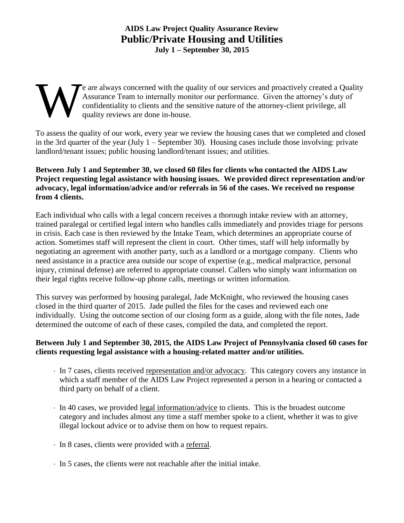# **AIDS Law Project Quality Assurance Review Public/Private Housing and Utilities July 1 – September 30, 2015**

# e are always concerned with the quality of our services and proactively created a Quality Assurance Team to internally monitor our performance. Given the attorney's duty of confidentiality to clients and the sensitive nature of the attorney-client privilege, all quality reviews are done in-house. W

To assess the quality of our work, every year we review the housing cases that we completed and closed in the 3rd quarter of the year (July 1 – September 30). Housing cases include those involving: private landlord/tenant issues; public housing landlord/tenant issues; and utilities.

# **Between July 1 and September 30, we closed 60 files for clients who contacted the AIDS Law Project requesting legal assistance with housing issues. We provided direct representation and/or advocacy, legal information/advice and/or referrals in 56 of the cases. We received no response from 4 clients.**

Each individual who calls with a legal concern receives a thorough intake review with an attorney, trained paralegal or certified legal intern who handles calls immediately and provides triage for persons in crisis. Each case is then reviewed by the Intake Team, which determines an appropriate course of action. Sometimes staff will represent the client in court. Other times, staff will help informally by negotiating an agreement with another party, such as a landlord or a mortgage company. Clients who need assistance in a practice area outside our scope of expertise (e.g., medical malpractice, personal injury, criminal defense) are referred to appropriate counsel. Callers who simply want information on their legal rights receive follow-up phone calls, meetings or written information.

This survey was performed by housing paralegal, Jade McKnight, who reviewed the housing cases closed in the third quarter of 2015. Jade pulled the files for the cases and reviewed each one individually. Using the outcome section of our closing form as a guide, along with the file notes, Jade determined the outcome of each of these cases, compiled the data, and completed the report.

# **Between July 1 and September 30, 2015, the AIDS Law Project of Pennsylvania closed 60 cases for clients requesting legal assistance with a housing-related matter and/or utilities.**

- In 7 cases, clients received representation and/or advocacy. This category covers any instance in which a staff member of the AIDS Law Project represented a person in a hearing or contacted a third party on behalf of a client.
- In 40 cases, we provided legal information/advice to clients. This is the broadest outcome category and includes almost any time a staff member spoke to a client, whether it was to give illegal lockout advice or to advise them on how to request repairs.
- In 8 cases, clients were provided with a referral.
- $\cdot$  In 5 cases, the clients were not reachable after the initial intake.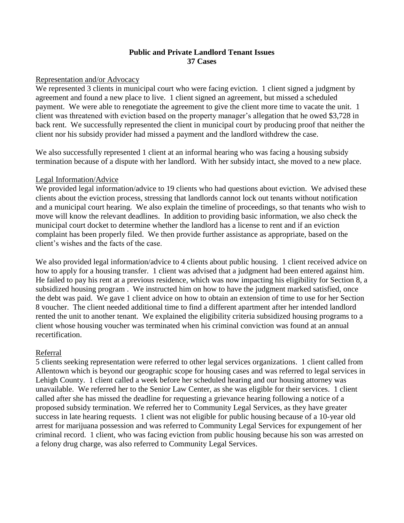# **Public and Private Landlord Tenant Issues 37 Cases**

## Representation and/or Advocacy

We represented 3 clients in municipal court who were facing eviction. 1 client signed a judgment by agreement and found a new place to live. 1 client signed an agreement, but missed a scheduled payment. We were able to renegotiate the agreement to give the client more time to vacate the unit. 1 client was threatened with eviction based on the property manager's allegation that he owed \$3,728 in back rent. We successfully represented the client in municipal court by producing proof that neither the client nor his subsidy provider had missed a payment and the landlord withdrew the case.

We also successfully represented 1 client at an informal hearing who was facing a housing subsidy termination because of a dispute with her landlord. With her subsidy intact, she moved to a new place.

### Legal Information/Advice

We provided legal information/advice to 19 clients who had questions about eviction. We advised these clients about the eviction process, stressing that landlords cannot lock out tenants without notification and a municipal court hearing. We also explain the timeline of proceedings, so that tenants who wish to move will know the relevant deadlines. In addition to providing basic information, we also check the municipal court docket to determine whether the landlord has a license to rent and if an eviction complaint has been properly filed. We then provide further assistance as appropriate, based on the client's wishes and the facts of the case.

We also provided legal information/advice to 4 clients about public housing. 1 client received advice on how to apply for a housing transfer. 1 client was advised that a judgment had been entered against him. He failed to pay his rent at a previous residence, which was now impacting his eligibility for Section 8, a subsidized housing program . We instructed him on how to have the judgment marked satisfied, once the debt was paid. We gave 1 client advice on how to obtain an extension of time to use for her Section 8 voucher. The client needed additional time to find a different apartment after her intended landlord rented the unit to another tenant. We explained the eligibility criteria subsidized housing programs to a client whose housing voucher was terminated when his criminal conviction was found at an annual recertification.

## Referral

5 clients seeking representation were referred to other legal services organizations. 1 client called from Allentown which is beyond our geographic scope for housing cases and was referred to legal services in Lehigh County. 1 client called a week before her scheduled hearing and our housing attorney was unavailable. We referred her to the Senior Law Center, as she was eligible for their services. 1 client called after she has missed the deadline for requesting a grievance hearing following a notice of a proposed subsidy termination. We referred her to Community Legal Services, as they have greater success in late hearing requests. 1 client was not eligible for public housing because of a 10-year old arrest for marijuana possession and was referred to Community Legal Services for expungement of her criminal record. 1 client, who was facing eviction from public housing because his son was arrested on a felony drug charge, was also referred to Community Legal Services.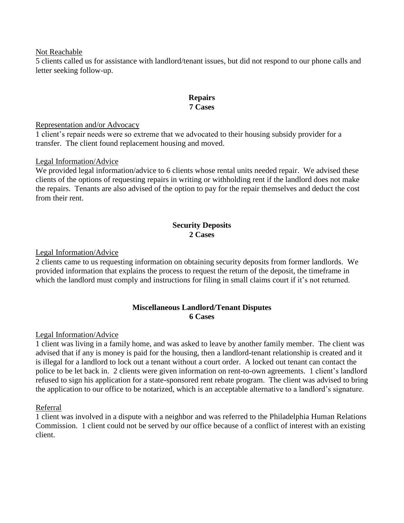### Not Reachable

5 clients called us for assistance with landlord/tenant issues, but did not respond to our phone calls and letter seeking follow-up.

# **Repairs 7 Cases**

### Representation and/or Advocacy

1 client's repair needs were so extreme that we advocated to their housing subsidy provider for a transfer. The client found replacement housing and moved.

## Legal Information/Advice

We provided legal information/advice to 6 clients whose rental units needed repair. We advised these clients of the options of requesting repairs in writing or withholding rent if the landlord does not make the repairs. Tenants are also advised of the option to pay for the repair themselves and deduct the cost from their rent.

# **Security Deposits 2 Cases**

### Legal Information/Advice

2 clients came to us requesting information on obtaining security deposits from former landlords. We provided information that explains the process to request the return of the deposit, the timeframe in which the landlord must comply and instructions for filing in small claims court if it's not returned.

## **Miscellaneous Landlord/Tenant Disputes 6 Cases**

#### Legal Information/Advice

1 client was living in a family home, and was asked to leave by another family member. The client was advised that if any is money is paid for the housing, then a landlord-tenant relationship is created and it is illegal for a landlord to lock out a tenant without a court order. A locked out tenant can contact the police to be let back in. 2 clients were given information on rent-to-own agreements. 1 client's landlord refused to sign his application for a state-sponsored rent rebate program. The client was advised to bring the application to our office to be notarized, which is an acceptable alternative to a landlord's signature.

## Referral

1 client was involved in a dispute with a neighbor and was referred to the Philadelphia Human Relations Commission. 1 client could not be served by our office because of a conflict of interest with an existing client.